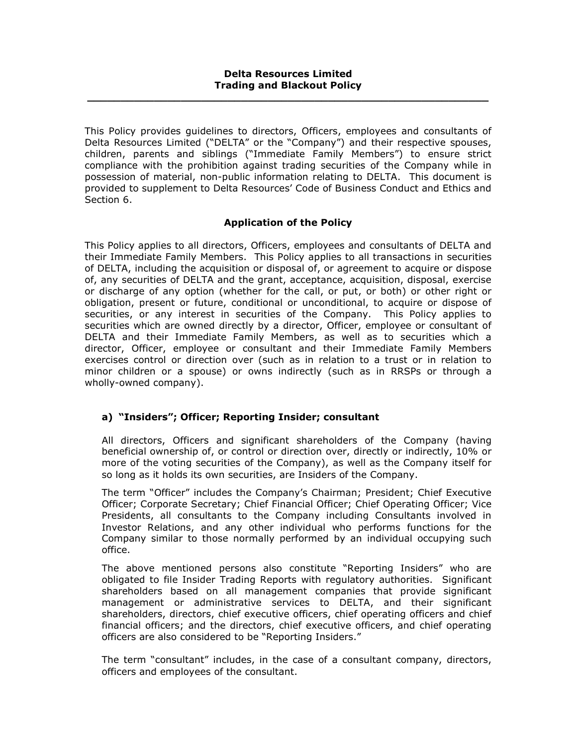This Policy provides guidelines to directors, Officers, employees and consultants of Delta Resources Limited ("DELTA" or the "Company") and their respective spouses, children, parents and siblings ("Immediate Family Members") to ensure strict compliance with the prohibition against trading securities of the Company while in possession of material, non-public information relating to DELTA. This document is provided to supplement to Delta Resources' Code of Business Conduct and Ethics and Section 6.

## Application of the Policy

This Policy applies to all directors, Officers, employees and consultants of DELTA and their Immediate Family Members. This Policy applies to all transactions in securities of DELTA, including the acquisition or disposal of, or agreement to acquire or dispose of, any securities of DELTA and the grant, acceptance, acquisition, disposal, exercise or discharge of any option (whether for the call, or put, or both) or other right or obligation, present or future, conditional or unconditional, to acquire or dispose of securities, or any interest in securities of the Company. This Policy applies to securities which are owned directly by a director, Officer, employee or consultant of DELTA and their Immediate Family Members, as well as to securities which a director, Officer, employee or consultant and their Immediate Family Members exercises control or direction over (such as in relation to a trust or in relation to minor children or a spouse) or owns indirectly (such as in RRSPs or through a wholly-owned company).

# a) "Insiders"; Officer; Reporting Insider; consultant

All directors, Officers and significant shareholders of the Company (having beneficial ownership of, or control or direction over, directly or indirectly, 10% or more of the voting securities of the Company), as well as the Company itself for so long as it holds its own securities, are Insiders of the Company.

The term "Officer" includes the Company's Chairman; President; Chief Executive Officer; Corporate Secretary; Chief Financial Officer; Chief Operating Officer; Vice Presidents, all consultants to the Company including Consultants involved in Investor Relations, and any other individual who performs functions for the Company similar to those normally performed by an individual occupying such office.

The above mentioned persons also constitute "Reporting Insiders" who are obligated to file Insider Trading Reports with regulatory authorities. Significant shareholders based on all management companies that provide significant management or administrative services to DELTA, and their significant shareholders, directors, chief executive officers, chief operating officers and chief financial officers; and the directors, chief executive officers, and chief operating officers are also considered to be "Reporting Insiders."

The term "consultant" includes, in the case of a consultant company, directors, officers and employees of the consultant.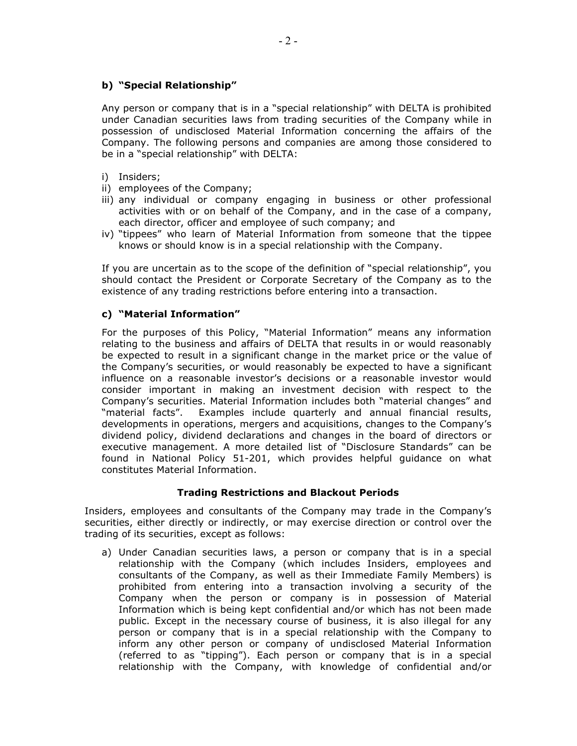## b) "Special Relationship"

Any person or company that is in a "special relationship" with DELTA is prohibited under Canadian securities laws from trading securities of the Company while in possession of undisclosed Material Information concerning the affairs of the Company. The following persons and companies are among those considered to be in a "special relationship" with DELTA:

- i) Insiders;
- ii) employees of the Company;
- iii) any individual or company engaging in business or other professional activities with or on behalf of the Company, and in the case of a company, each director, officer and employee of such company; and
- iv) "tippees" who learn of Material Information from someone that the tippee knows or should know is in a special relationship with the Company.

If you are uncertain as to the scope of the definition of "special relationship", you should contact the President or Corporate Secretary of the Company as to the existence of any trading restrictions before entering into a transaction.

## c) "Material Information"

For the purposes of this Policy, "Material Information" means any information relating to the business and affairs of DELTA that results in or would reasonably be expected to result in a significant change in the market price or the value of the Company's securities, or would reasonably be expected to have a significant influence on a reasonable investor's decisions or a reasonable investor would consider important in making an investment decision with respect to the Company's securities. Material Information includes both "material changes" and "material facts". Examples include quarterly and annual financial results, developments in operations, mergers and acquisitions, changes to the Company's dividend policy, dividend declarations and changes in the board of directors or executive management. A more detailed list of "Disclosure Standards" can be found in National Policy 51-201, which provides helpful guidance on what constitutes Material Information.

## Trading Restrictions and Blackout Periods

Insiders, employees and consultants of the Company may trade in the Company's securities, either directly or indirectly, or may exercise direction or control over the trading of its securities, except as follows:

a) Under Canadian securities laws, a person or company that is in a special relationship with the Company (which includes Insiders, employees and consultants of the Company, as well as their Immediate Family Members) is prohibited from entering into a transaction involving a security of the Company when the person or company is in possession of Material Information which is being kept confidential and/or which has not been made public. Except in the necessary course of business, it is also illegal for any person or company that is in a special relationship with the Company to inform any other person or company of undisclosed Material Information (referred to as "tipping"). Each person or company that is in a special relationship with the Company, with knowledge of confidential and/or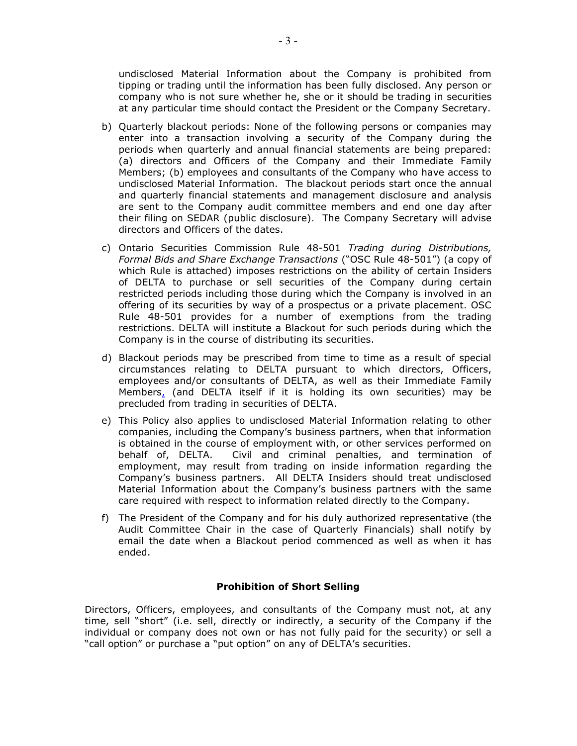undisclosed Material Information about the Company is prohibited from tipping or trading until the information has been fully disclosed. Any person or company who is not sure whether he, she or it should be trading in securities at any particular time should contact the President or the Company Secretary.

- b) Quarterly blackout periods: None of the following persons or companies may enter into a transaction involving a security of the Company during the periods when quarterly and annual financial statements are being prepared: (a) directors and Officers of the Company and their Immediate Family Members; (b) employees and consultants of the Company who have access to undisclosed Material Information. The blackout periods start once the annual and quarterly financial statements and management disclosure and analysis are sent to the Company audit committee members and end one day after their filing on SEDAR (public disclosure). The Company Secretary will advise directors and Officers of the dates.
- c) Ontario Securities Commission Rule 48-501 Trading during Distributions, Formal Bids and Share Exchange Transactions ("OSC Rule 48-501") (a copy of which Rule is attached) imposes restrictions on the ability of certain Insiders of DELTA to purchase or sell securities of the Company during certain restricted periods including those during which the Company is involved in an offering of its securities by way of a prospectus or a private placement. OSC Rule 48-501 provides for a number of exemptions from the trading restrictions. DELTA will institute a Blackout for such periods during which the Company is in the course of distributing its securities.
- d) Blackout periods may be prescribed from time to time as a result of special circumstances relating to DELTA pursuant to which directors, Officers, employees and/or consultants of DELTA, as well as their Immediate Family Members, (and DELTA itself if it is holding its own securities) may be precluded from trading in securities of DELTA.
- e) This Policy also applies to undisclosed Material Information relating to other companies, including the Company's business partners, when that information is obtained in the course of employment with, or other services performed on behalf of, DELTA. Civil and criminal penalties, and termination of employment, may result from trading on inside information regarding the Company's business partners. All DELTA Insiders should treat undisclosed Material Information about the Company's business partners with the same care required with respect to information related directly to the Company.
- f) The President of the Company and for his duly authorized representative (the Audit Committee Chair in the case of Quarterly Financials) shall notify by email the date when a Blackout period commenced as well as when it has ended.

## Prohibition of Short Selling

Directors, Officers, employees, and consultants of the Company must not, at any time, sell "short" (i.e. sell, directly or indirectly, a security of the Company if the individual or company does not own or has not fully paid for the security) or sell a "call option" or purchase a "put option" on any of DELTA's securities.